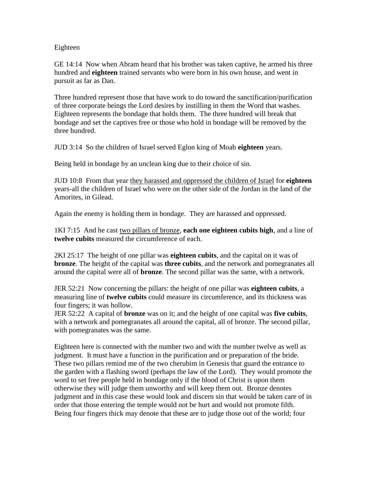#### Eighteen

GE 14:14 Now when Abram heard that his brother was taken captive, he armed his three hundred and **eighteen** trained servants who were born in his own house, and went in pursuit as far as Dan.

Three hundred represent those that have work to do toward the sanctification/purification of three corporate beings the Lord desires by instilling in them the Word that washes. Eighteen represents the bondage that holds them. The three hundred will break that bondage and set the captives free or those who hold in bondage will be removed by the three hundred.

JUD 3:14 So the children of Israel served Eglon king of Moab **eighteen** years.

Being held in bondage by an unclean king due to their choice of sin.

JUD 10:8 From that year they harassed and oppressed the children of Israel for **eighteen**  years-all the children of Israel who were on the other side of the Jordan in the land of the Amorites, in Gilead.

Again the enemy is holding them in bondage. They are harassed and oppressed.

1KI 7:15 And he cast two pillars of bronze, **each one eighteen cubits high**, and a line of **twelve cubits** measured the circumference of each.

2KI 25:17 The height of one pillar was **eighteen cubits**, and the capital on it was of **bronze**. The height of the capital was **three cubits**, and the network and pomegranates all around the capital were all of **bronze**. The second pillar was the same, with a network.

JER 52:21 Now concerning the pillars: the height of one pillar was **eighteen cubits**, a measuring line of **twelve cubits** could measure its circumference, and its thickness was four fingers; it was hollow.

JER 52:22 A capital of **bronze** was on it; and the height of one capital was **five cubits**, with a network and pomegranates all around the capital, all of bronze. The second pillar, with pomegranates was the same.

Eighteen here is connected with the number two and with the number twelve as well as judgment. It must have a function in the purification and or preparation of the bride. These two pillars remind me of the two cherubim in Genesis that guard the entrance to the garden with a flashing sword (perhaps the law of the Lord). They would promote the word to set free people held in bondage only if the blood of Christ is upon them otherwise they will judge them unworthy and will keep them out. Bronze denotes judgment and in this case these would look and discern sin that would be taken care of in order that those entering the temple would not be hurt and would not promote filth. Being four fingers thick may denote that these are to judge those out of the world; four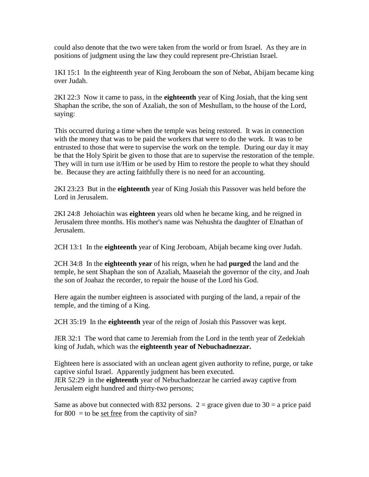could also denote that the two were taken from the world or from Israel. As they are in positions of judgment using the law they could represent pre-Christian Israel.

1KI 15:1 In the eighteenth year of King Jeroboam the son of Nebat, Abijam became king over Judah.

2KI 22:3 Now it came to pass, in the **eighteenth** year of King Josiah, that the king sent Shaphan the scribe, the son of Azaliah, the son of Meshullam, to the house of the Lord, saying:

This occurred during a time when the temple was being restored. It was in connection with the money that was to be paid the workers that were to do the work. It was to be entrusted to those that were to supervise the work on the temple. During our day it may be that the Holy Spirit be given to those that are to supervise the restoration of the temple. They will in turn use it/Him or be used by Him to restore the people to what they should be. Because they are acting faithfully there is no need for an accounting.

2KI 23:23 But in the **eighteenth** year of King Josiah this Passover was held before the Lord in Jerusalem.

2KI 24:8 Jehoiachin was **eighteen** years old when he became king, and he reigned in Jerusalem three months. His mother's name was Nehushta the daughter of Elnathan of Jerusalem.

2CH 13:1 In the **eighteenth** year of King Jeroboam, Abijah became king over Judah.

2CH 34:8 In the **eighteenth year** of his reign, when he had **purged** the land and the temple, he sent Shaphan the son of Azaliah, Maaseiah the governor of the city, and Joah the son of Joahaz the recorder, to repair the house of the Lord his God.

Here again the number eighteen is associated with purging of the land, a repair of the temple, and the timing of a King.

2CH 35:19 In the **eighteenth** year of the reign of Josiah this Passover was kept.

JER 32:1 The word that came to Jeremiah from the Lord in the tenth year of Zedekiah king of Judah, which was the **eighteenth year of Nebuchadnezzar.**

Eighteen here is associated with an unclean agent given authority to refine, purge, or take captive sinful Israel. Apparently judgment has been executed. JER 52:29 in the **eighteenth** year of Nebuchadnezzar he carried away captive from Jerusalem eight hundred and thirty-two persons;

Same as above but connected with 832 persons.  $2 = \text{grace}$  given due to  $30 = \text{a price paid}$ for  $800 =$  to be set free from the captivity of sin?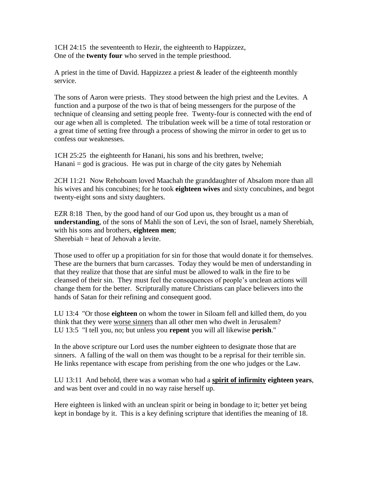1CH 24:15 the seventeenth to Hezir, the eighteenth to Happizzez, One of the **twenty four** who served in the temple priesthood.

A priest in the time of David. Happizzez a priest & leader of the eighteenth monthly service.

The sons of Aaron were priests. They stood between the high priest and the Levites. A function and a purpose of the two is that of being messengers for the purpose of the technique of cleansing and setting people free. Twenty-four is connected with the end of our age when all is completed. The tribulation week will be a time of total restoration or a great time of setting free through a process of showing the mirror in order to get us to confess our weaknesses.

1CH 25:25 the eighteenth for Hanani, his sons and his brethren, twelve; Hanani  $=$  god is gracious. He was put in charge of the city gates by Nehemiah

2CH 11:21 Now Rehoboam loved Maachah the granddaughter of Absalom more than all his wives and his concubines; for he took **eighteen wives** and sixty concubines, and begot twenty-eight sons and sixty daughters.

EZR 8:18 Then, by the good hand of our God upon us, they brought us a man of **understanding**, of the sons of Mahli the son of Levi, the son of Israel, namely Sherebiah, with his sons and brothers, **eighteen men**; Sherebiah  $=$  heat of Jehovah a levite.

Those used to offer up a propitiation for sin for those that would donate it for themselves. These are the burners that burn carcasses. Today they would be men of understanding in that they realize that those that are sinful must be allowed to walk in the fire to be cleansed of their sin. They must feel the consequences of people's unclean actions will change them for the better. Scripturally mature Christians can place believers into the hands of Satan for their refining and consequent good.

LU 13:4 "Or those **eighteen** on whom the tower in Siloam fell and killed them, do you think that they were worse sinners than all other men who dwelt in Jerusalem? LU 13:5 "I tell you, no; but unless you **repent** you will all likewise **perish**."

In the above scripture our Lord uses the number eighteen to designate those that are sinners. A falling of the wall on them was thought to be a reprisal for their terrible sin. He links repentance with escape from perishing from the one who judges or the Law.

LU 13:11 And behold, there was a woman who had a **spirit of infirmity eighteen years**, and was bent over and could in no way raise herself up.

Here eighteen is linked with an unclean spirit or being in bondage to it; better yet being kept in bondage by it. This is a key defining scripture that identifies the meaning of 18.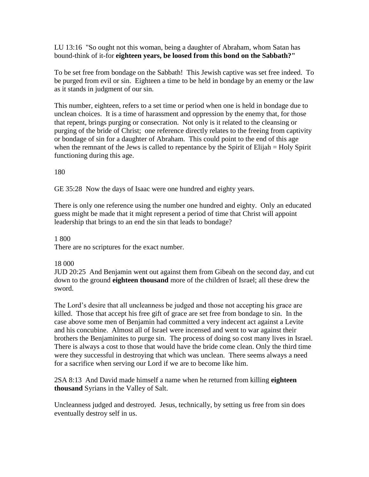LU 13:16 "So ought not this woman, being a daughter of Abraham, whom Satan has bound-think of it-for **eighteen years, be loosed from this bond on the Sabbath?"**

To be set free from bondage on the Sabbath! This Jewish captive was set free indeed. To be purged from evil or sin. Eighteen a time to be held in bondage by an enemy or the law as it stands in judgment of our sin.

This number, eighteen, refers to a set time or period when one is held in bondage due to unclean choices. It is a time of harassment and oppression by the enemy that, for those that repent, brings purging or consecration. Not only is it related to the cleansing or purging of the bride of Christ; one reference directly relates to the freeing from captivity or bondage of sin for a daughter of Abraham. This could point to the end of this age when the remnant of the Jews is called to repentance by the Spirit of Elijah = Holy Spirit functioning during this age.

## 180

GE 35:28 Now the days of Isaac were one hundred and eighty years.

There is only one reference using the number one hundred and eighty. Only an educated guess might be made that it might represent a period of time that Christ will appoint leadership that brings to an end the sin that leads to bondage?

### 1 800

There are no scriptures for the exact number.

### 18 000

JUD 20:25 And Benjamin went out against them from Gibeah on the second day, and cut down to the ground **eighteen thousand** more of the children of Israel; all these drew the sword.

The Lord's desire that all uncleanness be judged and those not accepting his grace are killed. Those that accept his free gift of grace are set free from bondage to sin. In the case above some men of Benjamin had committed a very indecent act against a Levite and his concubine. Almost all of Israel were incensed and went to war against their brothers the Benjaminites to purge sin. The process of doing so cost many lives in Israel. There is always a cost to those that would have the bride come clean. Only the third time were they successful in destroying that which was unclean. There seems always a need for a sacrifice when serving our Lord if we are to become like him.

2SA 8:13 And David made himself a name when he returned from killing **eighteen thousand** Syrians in the Valley of Salt.

Uncleanness judged and destroyed. Jesus, technically, by setting us free from sin does eventually destroy self in us.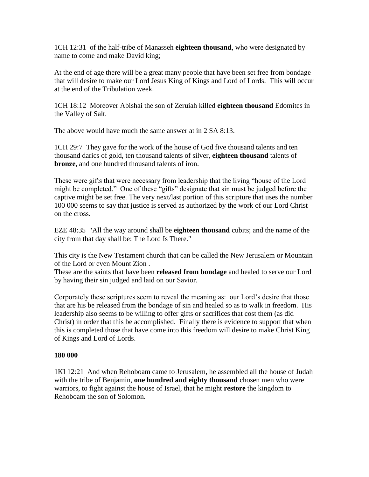1CH 12:31 of the half-tribe of Manasseh **eighteen thousand**, who were designated by name to come and make David king;

At the end of age there will be a great many people that have been set free from bondage that will desire to make our Lord Jesus King of Kings and Lord of Lords. This will occur at the end of the Tribulation week.

1CH 18:12 Moreover Abishai the son of Zeruiah killed **eighteen thousand** Edomites in the Valley of Salt.

The above would have much the same answer at in 2 SA 8:13.

1CH 29:7 They gave for the work of the house of God five thousand talents and ten thousand darics of gold, ten thousand talents of silver, **eighteen thousand** talents of **bronze**, and one hundred thousand talents of iron.

These were gifts that were necessary from leadership that the living "house of the Lord might be completed." One of these "gifts" designate that sin must be judged before the captive might be set free. The very next/last portion of this scripture that uses the number 100 000 seems to say that justice is served as authorized by the work of our Lord Christ on the cross.

EZE 48:35 "All the way around shall be **eighteen thousand** cubits; and the name of the city from that day shall be: The Lord Is There."

This city is the New Testament church that can be called the New Jerusalem or Mountain of the Lord or even Mount Zion .

These are the saints that have been **released from bondage** and healed to serve our Lord by having their sin judged and laid on our Savior.

Corporately these scriptures seem to reveal the meaning as: our Lord's desire that those that are his be released from the bondage of sin and healed so as to walk in freedom. His leadership also seems to be willing to offer gifts or sacrifices that cost them (as did Christ) in order that this be accomplished. Finally there is evidence to support that when this is completed those that have come into this freedom will desire to make Christ King of Kings and Lord of Lords.

# **180 000**

1KI 12:21 And when Rehoboam came to Jerusalem, he assembled all the house of Judah with the tribe of Benjamin, **one hundred and eighty thousand** chosen men who were warriors, to fight against the house of Israel, that he might **restore** the kingdom to Rehoboam the son of Solomon.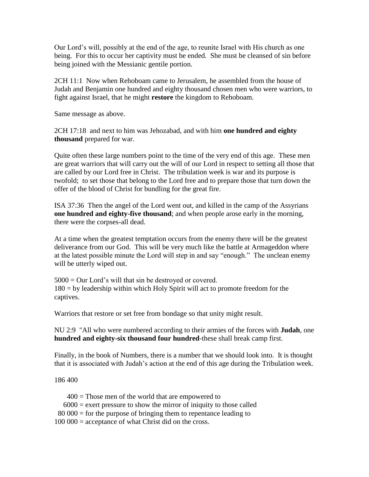Our Lord's will, possibly at the end of the age, to reunite Israel with His church as one being. For this to occur her captivity must be ended. She must be cleansed of sin before being joined with the Messianic gentile portion.

2CH 11:1 Now when Rehoboam came to Jerusalem, he assembled from the house of Judah and Benjamin one hundred and eighty thousand chosen men who were warriors, to fight against Israel, that he might **restore** the kingdom to Rehoboam.

Same message as above.

2CH 17:18 and next to him was Jehozabad, and with him **one hundred and eighty thousand** prepared for war.

Quite often these large numbers point to the time of the very end of this age. These men are great warriors that will carry out the will of our Lord in respect to setting all those that are called by our Lord free in Christ. The tribulation week is war and its purpose is twofold; to set those that belong to the Lord free and to prepare those that turn down the offer of the blood of Christ for bundling for the great fire.

ISA 37:36 Then the angel of the Lord went out, and killed in the camp of the Assyrians **one hundred and eighty-five thousand**; and when people arose early in the morning, there were the corpses-all dead.

At a time when the greatest temptation occurs from the enemy there will be the greatest deliverance from our God. This will be very much like the battle at Armageddon where at the latest possible minute the Lord will step in and say "enough." The unclean enemy will be utterly wiped out.

5000 = Our Lord's will that sin be destroyed or covered. 180 = by leadership within which Holy Spirit will act to promote freedom for the captives.

Warriors that restore or set free from bondage so that unity might result.

NU 2:9 "All who were numbered according to their armies of the forces with **Judah**, one **hundred and eighty-six thousand four hundred**-these shall break camp first.

Finally, in the book of Numbers, there is a number that we should look into. It is thought that it is associated with Judah's action at the end of this age during the Tribulation week.

186 400

 $400$  = Those men of the world that are empowered to

 $6000$  = exert pressure to show the mirror of iniquity to those called

 $80\,000$  = for the purpose of bringing them to repentance leading to

 $100\,000$  = acceptance of what Christ did on the cross.